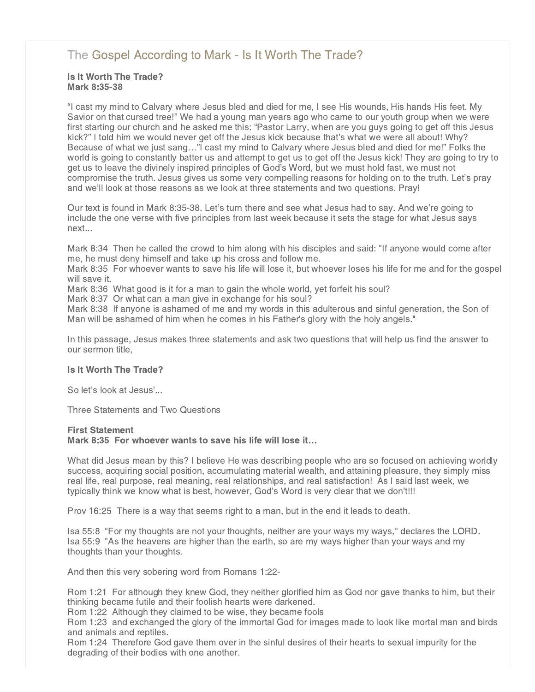# [The Gospel According to Mark - Is It Worth The Trade?](http://northshorechurch.net/resources/sermons/sermon-notes/442-the-gospel-according-to-mark-is-it-worth-the-trade)

## Is It Worth The Trade? Mark 8:35-38

"I cast my mind to Calvary where Jesus bled and died for me, I see His wounds, His hands His feet. My Savior on that cursed tree!" We had a young man years ago who came to our youth group when we were first starting our church and he asked me this: "Pastor Larry, when are you guys going to get off this Jesus kick?" I told him we would never get off the Jesus kick because that's what we were all about! Why? Because of what we just sang…"I cast my mind to Calvary where Jesus bled and died for me!" Folks the world is going to constantly batter us and attempt to get us to get off the Jesus kick! They are going to try to get us to leave the divinely inspired principles of God's Word, but we must hold fast, we must not compromise the truth. Jesus gives us some very compelling reasons for holding on to the truth. Let's pray and we'll look at those reasons as we look at three statements and two questions. Pray!

Our text is found in Mark 8:35-38. Let's turn there and see what Jesus had to say. And we're going to include the one verse with five principles from last week because it sets the stage for what Jesus says next...

Mark 8:34 Then he called the crowd to him along with his disciples and said: "If anyone would come after me, he must deny himself and take up his cross and follow me.

Mark 8:35 For whoever wants to save his life will lose it, but whoever loses his life for me and for the gospel will save it.

Mark 8:36 What good is it for a man to gain the whole world, yet forfeit his soul?

Mark 8:37 Or what can a man give in exchange for his soul?

Mark 8:38 If anyone is ashamed of me and my words in this adulterous and sinful generation, the Son of Man will be ashamed of him when he comes in his Father's glory with the holy angels."

In this passage, Jesus makes three statements and ask two questions that will help us find the answer to our sermon title,

## Is It Worth The Trade?

So let's look at Jesus'...

Three Statements and Two Questions

#### First Statement

Mark 8:35 For whoever wants to save his life will lose it…

What did Jesus mean by this? I believe He was describing people who are so focused on achieving worldly success, acquiring social position, accumulating material wealth, and attaining pleasure, they simply miss real life, real purpose, real meaning, real relationships, and real satisfaction! As I said last week, we typically think we know what is best, however, God's Word is very clear that we don't!!!

Prov 16:25 There is a way that seems right to a man, but in the end it leads to death.

Isa 55:8 "For my thoughts are not your thoughts, neither are your ways my ways," declares the LORD. Isa 55:9 "As the heavens are higher than the earth, so are my ways higher than your ways and my thoughts than your thoughts.

And then this very sobering word from Romans 1:22-

Rom 1:21 For although they knew God, they neither glorified him as God nor gave thanks to him, but their thinking became futile and their foolish hearts were darkened.

Rom 1:22 Although they claimed to be wise, they became fools

Rom 1:23 and exchanged the glory of the immortal God for images made to look like mortal man and birds and animals and reptiles.

Rom 1:24 Therefore God gave them over in the sinful desires of their hearts to sexual impurity for the degrading of their bodies with one another.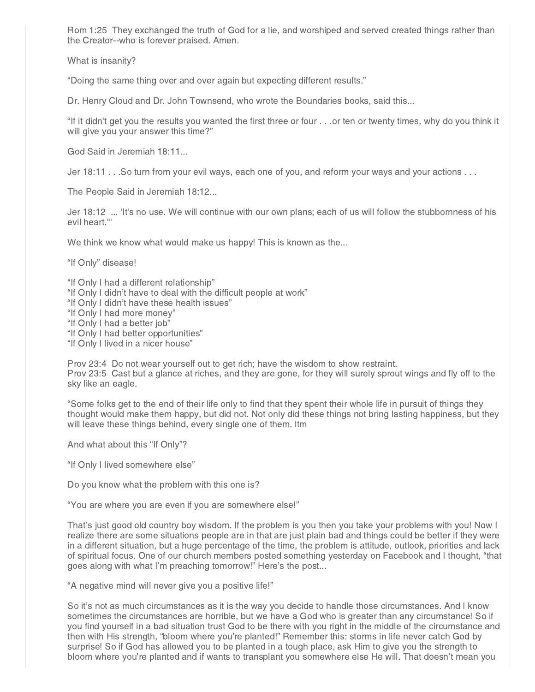Rom 1:25 They exchanged the truth of God for a lie, and worshiped and served created things rather than the Creator--who is forever praised. Amen.

What is insanity?

"Doing the same thing over and over again but expecting different results."

Dr. Henry Cloud and Dr. John Townsend, who wrote the Boundaries books, said this...

"If it didn't get you the results you wanted the first three or four . . .or ten or twenty times, why do you think it will give you your answer this time?"

God Said in Jeremiah 18:11...

Jer 18:11 . . .So turn from your evil ways, each one of you, and reform your ways and your actions . . .

The People Said in Jeremiah 18:12...

Jer 18:12 ... 'It's no use. We will continue with our own plans; each of us will follow the stubbornness of his evil heart.'"

We think we know what would make us happy! This is known as the...

"If Only" disease!

"If Only I had a different relationship"

- "If Only I didn't have to deal with the difficult people at work"
- "If Only I didn't have these health issues"
- "If Only I had more money"
- "If Only I had a better job"

"If Only I had better opportunities"

"If Only I lived in a nicer house"

Prov 23:4 Do not wear yourself out to get rich; have the wisdom to show restraint. Prov 23:5 Cast but a glance at riches, and they are gone, for they will surely sprout wings and fly off to the sky like an eagle.

"Some folks get to the end of their life only to find that they spent their whole life in pursuit of things they thought would make them happy, but did not. Not only did these things not bring lasting happiness, but they will leave these things behind, every single one of them. ltm

And what about this "If Only"?

"If Only I lived somewhere else"

Do you know what the problem with this one is?

"You are where you are even if you are somewhere else!"

That's just good old country boy wisdom. If the problem is you then you take your problems with you! Now I realize there are some situations people are in that are just plain bad and things could be better if they were in a different situation, but a huge percentage of the time, the problem is attitude, outlook, priorities and lack of spiritual focus. One of our church members posted something yesterday on Facebook and I thought, "that goes along with what I'm preaching tomorrow!" Here's the post...

"A negative mind will never give you a positive life!"

So it's not as much circumstances as it is the way you decide to handle those circumstances. And I know sometimes the circumstances are horrible, but we have a God who is greater than any circumstance! So if you find yourself in a bad situation trust God to be there with you right in the middle of the circumstance and then with His strength, "bloom where you're planted!" Remember this: storms in life never catch God by surprise! So if God has allowed you to be planted in a tough place, ask Him to give you the strength to bloom where you're planted and if wants to transplant you somewhere else He will. That doesn't mean you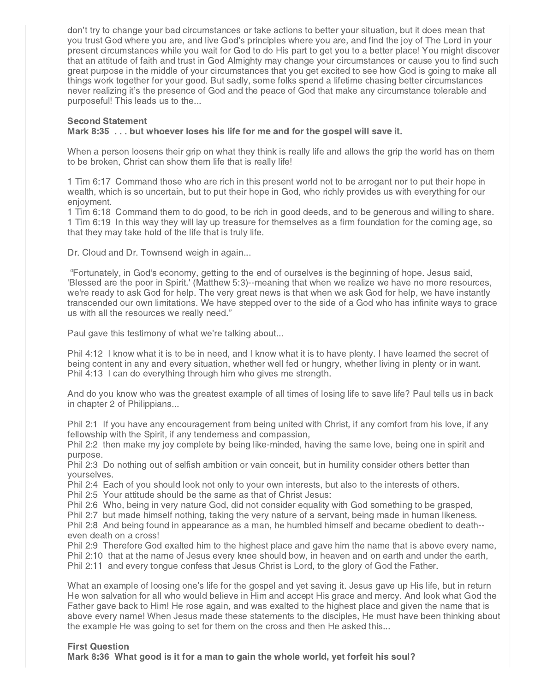don't try to change your bad circumstances or take actions to better your situation, but it does mean that you trust God where you are, and live God's principles where you are, and find the joy of The Lord in your present circumstances while you wait for God to do His part to get you to a better place! You might discover that an attitude of faith and trust in God Almighty may change your circumstances or cause you to find such great purpose in the middle of your circumstances that you get excited to see how God is going to make all things work together for your good. But sadly, some folks spend a lifetime chasing better circumstances never realizing it's the presence of God and the peace of God that make any circumstance tolerable and purposeful! This leads us to the...

## Second Statement

#### Mark 8:35 . . . but whoever loses his life for me and for the gospel will save it.

When a person loosens their grip on what they think is really life and allows the grip the world has on them to be broken, Christ can show them life that is really life!

1 Tim 6:17 Command those who are rich in this present world not to be arrogant nor to put their hope in wealth, which is so uncertain, but to put their hope in God, who richly provides us with everything for our enjoyment.

1 Tim 6:18 Command them to do good, to be rich in good deeds, and to be generous and willing to share. 1 Tim 6:19 In this way they will lay up treasure for themselves as a firm foundation for the coming age, so that they may take hold of the life that is truly life.

Dr. Cloud and Dr. Townsend weigh in again...

"Fortunately, in God's economy, getting to the end of ourselves is the beginning of hope. Jesus said, 'Blessed are the poor in Spirit.' (Matthew 5:3)--meaning that when we realize we have no more resources, we're ready to ask God for help. The very great news is that when we ask God for help, we have instantly transcended our own limitations. We have stepped over to the side of a God who has infinite ways to grace us with all the resources we really need."

Paul gave this testimony of what we're talking about...

Phil 4:12 I know what it is to be in need, and I know what it is to have plenty. I have learned the secret of being content in any and every situation, whether well fed or hungry, whether living in plenty or in want. Phil 4:13 I can do everything through him who gives me strength.

And do you know who was the greatest example of all times of losing life to save life? Paul tells us in back in chapter 2 of Philippians...

Phil 2:1 If you have any encouragement from being united with Christ, if any comfort from his love, if any fellowship with the Spirit, if any tenderness and compassion,

Phil 2:2 then make my joy complete by being like-minded, having the same love, being one in spirit and purpose.

Phil 2:3 Do nothing out of selfish ambition or vain conceit, but in humility consider others better than yourselves.

Phil 2:4 Each of you should look not only to your own interests, but also to the interests of others.

Phil 2:5 Your attitude should be the same as that of Christ Jesus:

Phil 2:6 Who, being in very nature God, did not consider equality with God something to be grasped,

Phil 2:7 but made himself nothing, taking the very nature of a servant, being made in human likeness.

Phil 2:8 And being found in appearance as a man, he humbled himself and became obedient to death- even death on a cross!

Phil 2:9 Therefore God exalted him to the highest place and gave him the name that is above every name, Phil 2:10 that at the name of Jesus every knee should bow, in heaven and on earth and under the earth, Phil 2:11 and every tongue confess that Jesus Christ is Lord, to the glory of God the Father.

What an example of loosing one's life for the gospel and yet saving it. Jesus gave up His life, but in return He won salvation for all who would believe in Him and accept His grace and mercy. And look what God the Father gave back to Him! He rose again, and was exalted to the highest place and given the name that is above every name! When Jesus made these statements to the disciples, He must have been thinking about the example He was going to set for them on the cross and then He asked this...

## First Question

Mark 8:36 What good is it for a man to gain the whole world, yet forfeit his soul?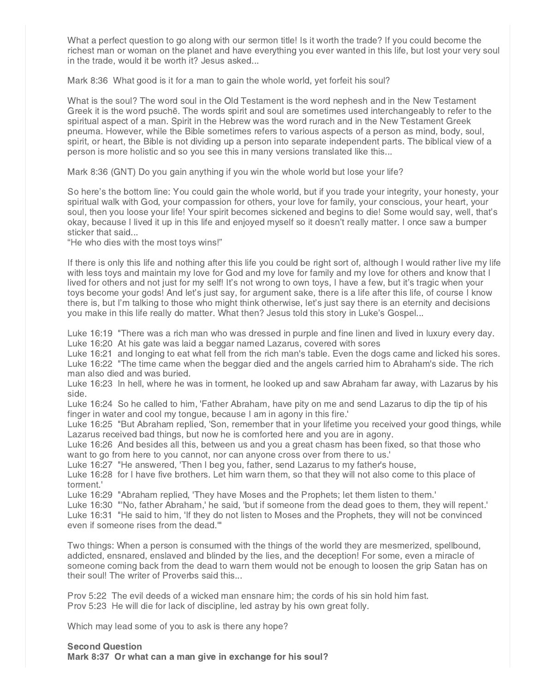What a perfect question to go along with our sermon title! Is it worth the trade? If you could become the richest man or woman on the planet and have everything you ever wanted in this life, but lost your very soul in the trade, would it be worth it? Jesus asked...

Mark 8:36 What good is it for a man to gain the whole world, yet forfeit his soul?

What is the soul? The word soul in the Old Testament is the word nephesh and in the New Testament Greek it is the word psuchē. The words spirit and soul are sometimes used interchangeably to refer to the spiritual aspect of a man. Spirit in the Hebrew was the word rurach and in the New Testament Greek pneuma. However, while the Bible sometimes refers to various aspects of a person as mind, body, soul, spirit, or heart, the Bible is not dividing up a person into separate independent parts. The biblical view of a person is more holistic and so you see this in many versions translated like this...

Mark 8:36 (GNT) Do you gain anything if you win the whole world but lose your life?

So here's the bottom line: You could gain the whole world, but if you trade your integrity, your honesty, your spiritual walk with God, your compassion for others, your love for family, your conscious, your heart, your soul, then you loose your life! Your spirit becomes sickened and begins to die! Some would say, well, that's okay, because I lived it up in this life and enjoyed myself so it doesn't really matter. I once saw a bumper sticker that said...

"He who dies with the most toys wins!"

If there is only this life and nothing after this life you could be right sort of, although I would rather live my life with less toys and maintain my love for God and my love for family and my love for others and know that I lived for others and not just for my self! It's not wrong to own toys, I have a few, but it's tragic when your toys become your gods! And let's just say, for argument sake, there is a life after this life, of course I know there is, but I'm talking to those who might think otherwise, let's just say there is an eternity and decisions you make in this life really do matter. What then? Jesus told this story in Luke's Gospel...

Luke 16:19 "There was a rich man who was dressed in purple and fine linen and lived in luxury every day. Luke 16:20 At his gate was laid a beggar named Lazarus, covered with sores

Luke 16:21 and longing to eat what fell from the rich man's table. Even the dogs came and licked his sores. Luke 16:22 "The time came when the beggar died and the angels carried him to Abraham's side. The rich man also died and was buried.

Luke 16:23 In hell, where he was in torment, he looked up and saw Abraham far away, with Lazarus by his side.

Luke 16:24 So he called to him, 'Father Abraham, have pity on me and send Lazarus to dip the tip of his finger in water and cool my tongue, because I am in agony in this fire.'

Luke 16:25 "But Abraham replied, 'Son, remember that in your lifetime you received your good things, while Lazarus received bad things, but now he is comforted here and you are in agony.

Luke 16:26 And besides all this, between us and you a great chasm has been fixed, so that those who want to go from here to you cannot, nor can anyone cross over from there to us.'

Luke 16:27 "He answered, 'Then I beg you, father, send Lazarus to my father's house,

Luke 16:28 for I have five brothers. Let him warn them, so that they will not also come to this place of torment.'

Luke 16:29 "Abraham replied, 'They have Moses and the Prophets; let them listen to them.'

Luke 16:30 "'No, father Abraham,' he said, 'but if someone from the dead goes to them, they will repent.' Luke 16:31 "He said to him, 'If they do not listen to Moses and the Prophets, they will not be convinced even if someone rises from the dead.'"

Two things: When a person is consumed with the things of the world they are mesmerized, spellbound, addicted, ensnared, enslaved and blinded by the lies, and the deception! For some, even a miracle of someone coming back from the dead to warn them would not be enough to loosen the grip Satan has on their soul! The writer of Proverbs said this...

Prov 5:22 The evil deeds of a wicked man ensnare him; the cords of his sin hold him fast. Prov 5:23 He will die for lack of discipline, led astray by his own great folly.

Which may lead some of you to ask is there any hope?

#### Second Question

Mark 8:37 Or what can a man give in exchange for his soul?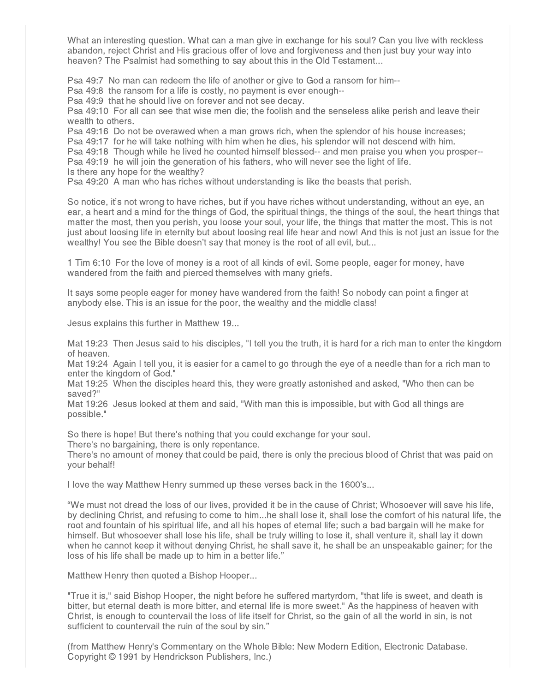What an interesting question. What can a man give in exchange for his soul? Can you live with reckless abandon, reject Christ and His gracious offer of love and forgiveness and then just buy your way into heaven? The Psalmist had something to say about this in the Old Testament...

Psa 49:7 No man can redeem the life of another or give to God a ransom for him--

Psa 49:8 the ransom for a life is costly, no payment is ever enough--

Psa 49:9 that he should live on forever and not see decay.

Psa 49:10 For all can see that wise men die; the foolish and the senseless alike perish and leave their wealth to others.

Psa 49:16 Do not be overawed when a man grows rich, when the splendor of his house increases;

Psa 49:17 for he will take nothing with him when he dies, his splendor will not descend with him.

Psa 49:18 Though while he lived he counted himself blessed-- and men praise you when you prosper--

Psa 49:19 he will join the generation of his fathers, who will never see the light of life.

Is there any hope for the wealthy?

Psa 49:20 A man who has riches without understanding is like the beasts that perish.

So notice, it's not wrong to have riches, but if you have riches without understanding, without an eye, an ear, a heart and a mind for the things of God, the spiritual things, the things of the soul, the heart things that matter the most, then you perish, you loose your soul, your life, the things that matter the most. This is not just about loosing life in eternity but about loosing real life hear and now! And this is not just an issue for the wealthy! You see the Bible doesn't say that money is the root of all evil, but...

1 Tim 6:10 For the love of money is a root of all kinds of evil. Some people, eager for money, have wandered from the faith and pierced themselves with many griefs.

It says some people eager for money have wandered from the faith! So nobody can point a finger at anybody else. This is an issue for the poor, the wealthy and the middle class!

Jesus explains this further in Matthew 19...

Mat 19:23 Then Jesus said to his disciples, "I tell you the truth, it is hard for a rich man to enter the kingdom of heaven.

Mat 19:24 Again I tell you, it is easier for a camel to go through the eye of a needle than for a rich man to enter the kingdom of God."

Mat 19:25 When the disciples heard this, they were greatly astonished and asked, "Who then can be saved?"

Mat 19:26 Jesus looked at them and said, "With man this is impossible, but with God all things are possible."

So there is hope! But there's nothing that you could exchange for your soul.

There's no bargaining, there is only repentance.

There's no amount of money that could be paid, there is only the precious blood of Christ that was paid on your behalf!

I love the way Matthew Henry summed up these verses back in the 1600's...

"We must not dread the loss of our lives, provided it be in the cause of Christ; Whosoever will save his life, by declining Christ, and refusing to come to him...he shall lose it, shall lose the comfort of his natural life, the root and fountain of his spiritual life, and all his hopes of eternal life; such a bad bargain will he make for himself. But whosoever shall lose his life, shall be truly willing to lose it, shall venture it, shall lay it down when he cannot keep it without denying Christ, he shall save it, he shall be an unspeakable gainer; for the loss of his life shall be made up to him in a better life."

Matthew Henry then quoted a Bishop Hooper...

"True it is," said Bishop Hooper, the night before he suffered martyrdom, "that life is sweet, and death is bitter, but eternal death is more bitter, and eternal life is more sweet." As the happiness of heaven with Christ, is enough to countervail the loss of life itself for Christ, so the gain of all the world in sin, is not sufficient to countervail the ruin of the soul by sin."

(from Matthew Henry's Commentary on the Whole Bible: New Modern Edition, Electronic Database. Copyright © 1991 by Hendrickson Publishers, Inc.)